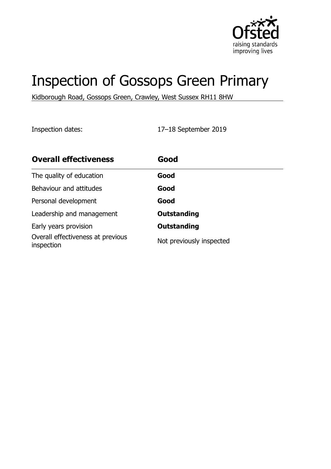

# Inspection of Gossops Green Primary

Kidborough Road, Gossops Green, Crawley, West Sussex RH11 8HW

Inspection dates: 17–18 September 2019

| <b>Overall effectiveness</b>                    | Good                     |
|-------------------------------------------------|--------------------------|
| The quality of education                        | Good                     |
| Behaviour and attitudes                         | Good                     |
| Personal development                            | Good                     |
| Leadership and management                       | <b>Outstanding</b>       |
| Early years provision                           | <b>Outstanding</b>       |
| Overall effectiveness at previous<br>inspection | Not previously inspected |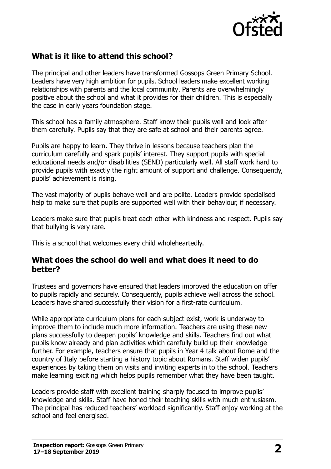

# **What is it like to attend this school?**

The principal and other leaders have transformed Gossops Green Primary School. Leaders have very high ambition for pupils. School leaders make excellent working relationships with parents and the local community. Parents are overwhelmingly positive about the school and what it provides for their children. This is especially the case in early years foundation stage.

This school has a family atmosphere. Staff know their pupils well and look after them carefully. Pupils say that they are safe at school and their parents agree.

Pupils are happy to learn. They thrive in lessons because teachers plan the curriculum carefully and spark pupils' interest. They support pupils with special educational needs and/or disabilities (SEND) particularly well. All staff work hard to provide pupils with exactly the right amount of support and challenge. Consequently, pupils' achievement is rising.

The vast majority of pupils behave well and are polite. Leaders provide specialised help to make sure that pupils are supported well with their behaviour, if necessary.

Leaders make sure that pupils treat each other with kindness and respect. Pupils say that bullying is very rare.

This is a school that welcomes every child wholeheartedly.

#### **What does the school do well and what does it need to do better?**

Trustees and governors have ensured that leaders improved the education on offer to pupils rapidly and securely. Consequently, pupils achieve well across the school. Leaders have shared successfully their vision for a first-rate curriculum.

While appropriate curriculum plans for each subject exist, work is underway to improve them to include much more information. Teachers are using these new plans successfully to deepen pupils' knowledge and skills. Teachers find out what pupils know already and plan activities which carefully build up their knowledge further. For example, teachers ensure that pupils in Year 4 talk about Rome and the country of Italy before starting a history topic about Romans. Staff widen pupils' experiences by taking them on visits and inviting experts in to the school. Teachers make learning exciting which helps pupils remember what they have been taught.

Leaders provide staff with excellent training sharply focused to improve pupils' knowledge and skills. Staff have honed their teaching skills with much enthusiasm. The principal has reduced teachers' workload significantly. Staff enjoy working at the school and feel energised.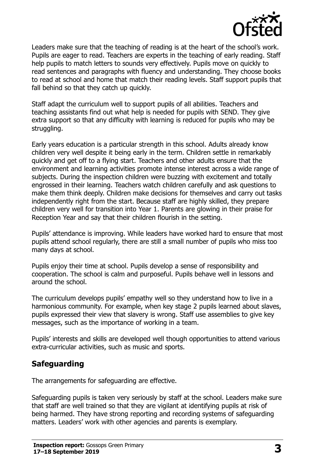

Leaders make sure that the teaching of reading is at the heart of the school's work. Pupils are eager to read. Teachers are experts in the teaching of early reading. Staff help pupils to match letters to sounds very effectively. Pupils move on quickly to read sentences and paragraphs with fluency and understanding. They choose books to read at school and home that match their reading levels. Staff support pupils that fall behind so that they catch up quickly.

Staff adapt the curriculum well to support pupils of all abilities. Teachers and teaching assistants find out what help is needed for pupils with SEND. They give extra support so that any difficulty with learning is reduced for pupils who may be struggling.

Early years education is a particular strength in this school. Adults already know children very well despite it being early in the term. Children settle in remarkably quickly and get off to a flying start. Teachers and other adults ensure that the environment and learning activities promote intense interest across a wide range of subjects. During the inspection children were buzzing with excitement and totally engrossed in their learning. Teachers watch children carefully and ask questions to make them think deeply. Children make decisions for themselves and carry out tasks independently right from the start. Because staff are highly skilled, they prepare children very well for transition into Year 1. Parents are glowing in their praise for Reception Year and say that their children flourish in the setting.

Pupils' attendance is improving. While leaders have worked hard to ensure that most pupils attend school regularly, there are still a small number of pupils who miss too many days at school.

Pupils enjoy their time at school. Pupils develop a sense of responsibility and cooperation. The school is calm and purposeful. Pupils behave well in lessons and around the school.

The curriculum develops pupils' empathy well so they understand how to live in a harmonious community. For example, when key stage 2 pupils learned about slaves, pupils expressed their view that slavery is wrong. Staff use assemblies to give key messages, such as the importance of working in a team.

Pupils' interests and skills are developed well though opportunities to attend various extra-curricular activities, such as music and sports.

#### **Safeguarding**

The arrangements for safeguarding are effective.

Safeguarding pupils is taken very seriously by staff at the school. Leaders make sure that staff are well trained so that they are vigilant at identifying pupils at risk of being harmed. They have strong reporting and recording systems of safeguarding matters. Leaders' work with other agencies and parents is exemplary.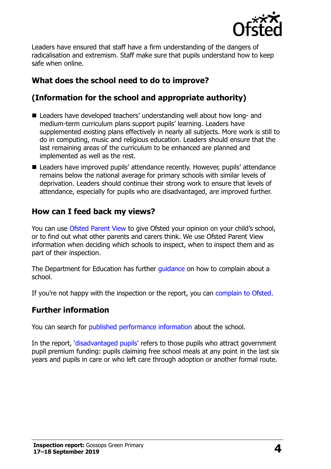

Leaders have ensured that staff have a firm understanding of the dangers of radicalisation and extremism. Staff make sure that pupils understand how to keep safe when online.

# **What does the school need to do to improve?**

# **(Information for the school and appropriate authority)**

- Leaders have developed teachers' understanding well about how long- and medium-term curriculum plans support pupils' learning. Leaders have supplemented existing plans effectively in nearly all subjects. More work is still to do in computing, music and religious education. Leaders should ensure that the last remaining areas of the curriculum to be enhanced are planned and implemented as well as the rest.
- Leaders have improved pupils' attendance recently. However, pupils' attendance remains below the national average for primary schools with similar levels of deprivation. Leaders should continue their strong work to ensure that levels of attendance, especially for pupils who are disadvantaged, are improved further.

### **How can I feed back my views?**

You can use [Ofsted Parent View](http://parentview.ofsted.gov.uk/) to give Ofsted your opinion on your child's school, or to find out what other parents and carers think. We use Ofsted Parent View information when deciding which schools to inspect, when to inspect them and as part of their inspection.

The Department for Education has further quidance on how to complain about a school.

If you're not happy with the inspection or the report, you can [complain to Ofsted.](http://www.gov.uk/complain-ofsted-report)

# **Further information**

You can search for [published performance information](http://www.compare-school-performance.service.gov.uk/) about the school.

In the report, '[disadvantaged pupils](http://www.gov.uk/guidance/pupil-premium-information-for-schools-and-alternative-provision-settings)' refers to those pupils who attract government pupil premium funding: pupils claiming free school meals at any point in the last six years and pupils in care or who left care through adoption or another formal route.

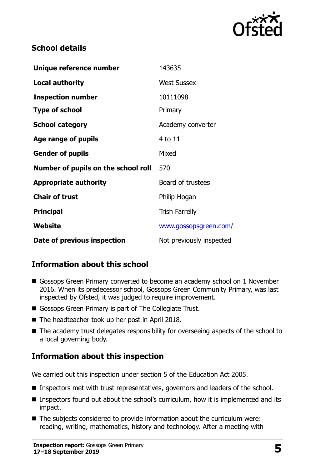

### **School details**

| Unique reference number             | 143635                   |
|-------------------------------------|--------------------------|
| <b>Local authority</b>              | <b>West Sussex</b>       |
| <b>Inspection number</b>            | 10111098                 |
| <b>Type of school</b>               | Primary                  |
| <b>School category</b>              | Academy converter        |
| Age range of pupils                 | 4 to 11                  |
| <b>Gender of pupils</b>             | Mixed                    |
| Number of pupils on the school roll | 570                      |
| <b>Appropriate authority</b>        | Board of trustees        |
| <b>Chair of trust</b>               | Philip Hogan             |
| <b>Principal</b>                    | <b>Trish Farrelly</b>    |
| Website                             | www.gossopsgreen.com/    |
| Date of previous inspection         | Not previously inspected |

# **Information about this school**

- Gossops Green Primary converted to become an academy school on 1 November 2016. When its predecessor school, Gossops Green Community Primary, was last inspected by Ofsted, it was judged to require improvement.
- Gossops Green Primary is part of The Collegiate Trust.
- The headteacher took up her post in April 2018.
- The academy trust delegates responsibility for overseeing aspects of the school to a local governing body.

# **Information about this inspection**

We carried out this inspection under section 5 of the Education Act 2005.

- Inspectors met with trust representatives, governors and leaders of the school.
- Inspectors found out about the school's curriculum, how it is implemented and its impact.
- The subjects considered to provide information about the curriculum were: reading, writing, mathematics, history and technology. After a meeting with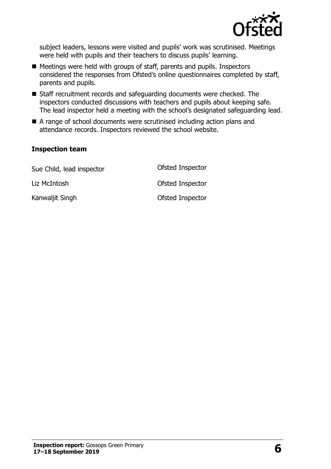

subject leaders, lessons were visited and pupils' work was scrutinised. Meetings were held with pupils and their teachers to discuss pupils' learning.

- Meetings were held with groups of staff, parents and pupils. Inspectors considered the responses from Ofsted's online questionnaires completed by staff, parents and pupils.
- Staff recruitment records and safeguarding documents were checked. The inspectors conducted discussions with teachers and pupils about keeping safe. The lead inspector held a meeting with the school's designated safeguarding lead.
- A range of school documents were scrutinised including action plans and attendance records. Inspectors reviewed the school website.

#### **Inspection team**

| Sue Child, lead inspector | Ofsted Inspector |
|---------------------------|------------------|
| Liz McIntosh              | Ofsted Inspector |
| Kanwaljit Singh           | Ofsted Inspector |